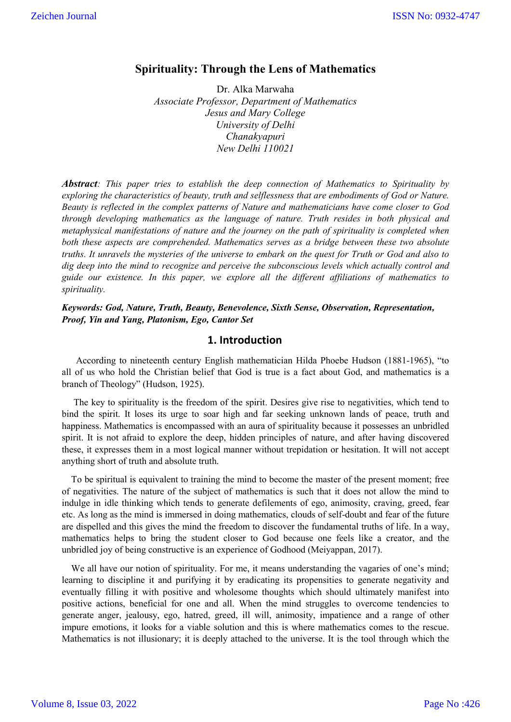## **Spirituality: Through the Lens of Mathematics**

Dr. Alka Marwaha *Associate Professor, Department of Mathematics Jesus and Mary College University of Delhi Chanakyapuri New Delhi 110021*

*Abstract: This paper tries to establish the deep connection of Mathematics to Spirituality by exploring the characteristics of beauty, truth and selflessness that are embodiments of God or Nature. Beauty is reflected in the complex patterns of Nature and mathematicians have come closer to God through developing mathematics as the language of nature. Truth resides in both physical and metaphysical manifestations of nature and the journey on the path of spirituality is completed when both these aspects are comprehended. Mathematics serves as a bridge between these two absolute truths. It unravels the mysteries of the universe to embark on the quest for Truth or God and also to dig deep into the mind to recognize and perceive the subconscious levels which actually control and guide our existence. In this paper, we explore all the different affiliations of mathematics to spirituality.*

*Keywords: God, Nature, Truth, Beauty, Benevolence, Sixth Sense, Observation, Representation, Proof, Yin and Yang, Platonism, Ego, Cantor Set*

## **1. Introduction**

 According to nineteenth century English mathematician Hilda Phoebe Hudson (1881-1965), "to all of us who hold the Christian belief that God is true is a fact about God, and mathematics is a branch of Theology" (Hudson, 1925).

 The key to spirituality is the freedom of the spirit. Desires give rise to negativities, which tend to bind the spirit. It loses its urge to soar high and far seeking unknown lands of peace, truth and happiness. Mathematics is encompassed with an aura of spirituality because it possesses an unbridled spirit. It is not afraid to explore the deep, hidden principles of nature, and after having discovered these, it expresses them in a most logical manner without trepidation or hesitation. It will not accept anything short of truth and absolute truth.

 To be spiritual is equivalent to training the mind to become the master of the present moment; free of negativities. The nature of the subject of mathematics is such that it does not allow the mind to indulge in idle thinking which tends to generate defilements of ego, animosity, craving, greed, fear etc. As long as the mind is immersed in doing mathematics, clouds of self-doubt and fear of the future are dispelled and this gives the mind the freedom to discover the fundamental truths of life. In a way, mathematics helps to bring the student closer to God because one feels like a creator, and the unbridled joy of being constructive is an experience of Godhood (Meiyappan, 2017).

We all have our notion of spirituality. For me, it means understanding the vagaries of one's mind; learning to discipline it and purifying it by eradicating its propensities to generate negativity and eventually filling it with positive and wholesome thoughts which should ultimately manifest into positive actions, beneficial for one and all. When the mind struggles to overcome tendencies to generate anger, jealousy, ego, hatred, greed, ill will, animosity, impatience and a range of other impure emotions, it looks for a viable solution and this is where mathematics comes to the rescue. Mathematics is not illusionary; it is deeply attached to the universe. It is the tool through which the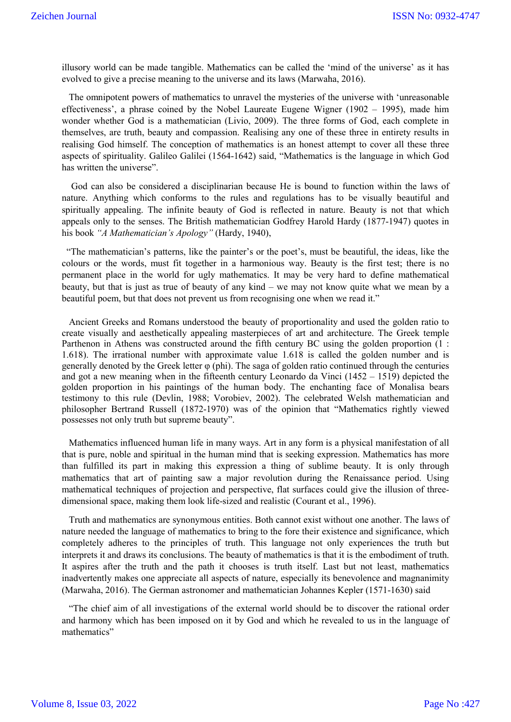illusory world can be made tangible. Mathematics can be called the 'mind of the universe' as it has evolved to give a precise meaning to the universe and its laws (Marwaha, 2016).

 The omnipotent powers of mathematics to unravel the mysteries of the universe with 'unreasonable effectiveness', a phrase coined by the Nobel Laureate Eugene Wigner (1902 – 1995), made him wonder whether God is a mathematician (Livio, 2009). The three forms of God, each complete in themselves, are truth, beauty and compassion. Realising any one of these three in entirety results in realising God himself. The conception of mathematics is an honest attempt to cover all these three aspects of spirituality. Galileo Galilei (1564-1642) said, "Mathematics is the language in which God has written the universe".

 God can also be considered a disciplinarian because He is bound to function within the laws of nature. Anything which conforms to the rules and regulations has to be visually beautiful and spiritually appealing. The infinite beauty of God is reflected in nature. Beauty is not that which appeals only to the senses. The British mathematician Godfrey Harold Hardy (1877-1947) quotes in his book *"A Mathematician's Apology"* (Hardy, 1940),

 "The mathematician's patterns, like the painter's or the poet's, must be beautiful, the ideas, like the colours or the words, must fit together in a harmonious way. Beauty is the first test; there is no permanent place in the world for ugly mathematics. It may be very hard to define mathematical beauty, but that is just as true of beauty of any kind – we may not know quite what we mean by a beautiful poem, but that does not prevent us from recognising one when we read it."

 Ancient Greeks and Romans understood the beauty of proportionality and used the golden ratio to create visually and aesthetically appealing masterpieces of art and architecture. The Greek temple Parthenon in Athens was constructed around the fifth century BC using the golden proportion (1 : 1.618). The irrational number with approximate value 1.618 is called the golden number and is generally denoted by the Greek letter  $\varphi$  (phi). The saga of golden ratio continued through the centuries and got a new meaning when in the fifteenth century Leonardo da Vinci (1452 – 1519) depicted the golden proportion in his paintings of the human body. The enchanting face of Monalisa bears testimony to this rule (Devlin, 1988; Vorobiev, 2002). The celebrated Welsh mathematician and philosopher Bertrand Russell (1872-1970) was of the opinion that "Mathematics rightly viewed possesses not only truth but supreme beauty".

 Mathematics influenced human life in many ways. Art in any form is a physical manifestation of all that is pure, noble and spiritual in the human mind that is seeking expression. Mathematics has more than fulfilled its part in making this expression a thing of sublime beauty. It is only through mathematics that art of painting saw a major revolution during the Renaissance period. Using mathematical techniques of projection and perspective, flat surfaces could give the illusion of threedimensional space, making them look life-sized and realistic (Courant et al., 1996).

 Truth and mathematics are synonymous entities. Both cannot exist without one another. The laws of nature needed the language of mathematics to bring to the fore their existence and significance, which completely adheres to the principles of truth. This language not only experiences the truth but interprets it and draws its conclusions. The beauty of mathematics is that it is the embodiment of truth. It aspires after the truth and the path it chooses is truth itself. Last but not least, mathematics inadvertently makes one appreciate all aspects of nature, especially its benevolence and magnanimity (Marwaha, 2016). The German astronomer and mathematician Johannes Kepler (1571-1630) said

 "The chief aim of all investigations of the external world should be to discover the rational order and harmony which has been imposed on it by God and which he revealed to us in the language of mathematics"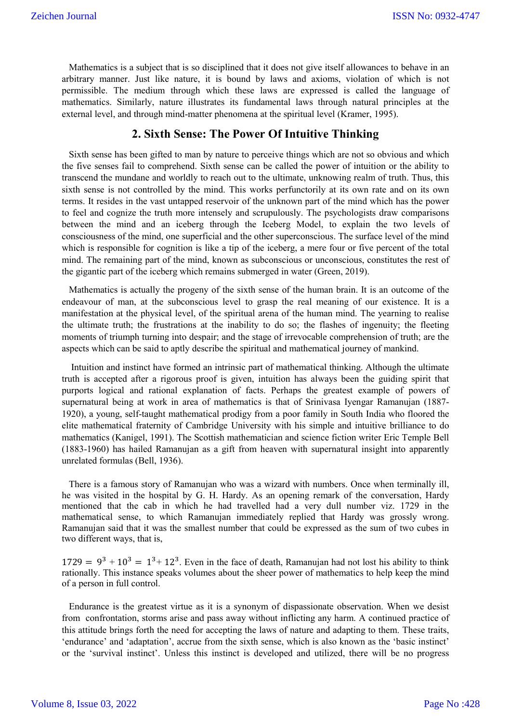Mathematics is a subject that is so disciplined that it does not give itself allowances to behave in an arbitrary manner. Just like nature, it is bound by laws and axioms, violation of which is not permissible. The medium through which these laws are expressed is called the language of mathematics. Similarly, nature illustrates its fundamental laws through natural principles at the external level, and through mind-matter phenomena at the spiritual level (Kramer, 1995).

#### **2. Sixth Sense: The Power Of Intuitive Thinking**

 Sixth sense has been gifted to man by nature to perceive things which are not so obvious and which the five senses fail to comprehend. Sixth sense can be called the power of intuition or the ability to transcend the mundane and worldly to reach out to the ultimate, unknowing realm of truth. Thus, this sixth sense is not controlled by the mind. This works perfunctorily at its own rate and on its own terms. It resides in the vast untapped reservoir of the unknown part of the mind which has the power to feel and cognize the truth more intensely and scrupulously. The psychologists draw comparisons between the mind and an iceberg through the Iceberg Model, to explain the two levels of consciousness of the mind, one superficial and the other superconscious. The surface level of the mind which is responsible for cognition is like a tip of the iceberg, a mere four or five percent of the total mind. The remaining part of the mind, known as subconscious or unconscious, constitutes the rest of the gigantic part of the iceberg which remains submerged in water (Green, 2019).

 Mathematics is actually the progeny of the sixth sense of the human brain. It is an outcome of the endeavour of man, at the subconscious level to grasp the real meaning of our existence. It is a manifestation at the physical level, of the spiritual arena of the human mind. The yearning to realise the ultimate truth; the frustrations at the inability to do so; the flashes of ingenuity; the fleeting moments of triumph turning into despair; and the stage of irrevocable comprehension of truth; are the aspects which can be said to aptly describe the spiritual and mathematical journey of mankind.

 Intuition and instinct have formed an intrinsic part of mathematical thinking. Although the ultimate truth is accepted after a rigorous proof is given, intuition has always been the guiding spirit that purports logical and rational explanation of facts. Perhaps the greatest example of powers of supernatural being at work in area of mathematics is that of Srinivasa Iyengar Ramanujan (1887- 1920), a young, self-taught mathematical prodigy from a poor family in South India who floored the elite mathematical fraternity of Cambridge University with his simple and intuitive brilliance to do mathematics (Kanigel, 1991). The Scottish mathematician and science fiction writer Eric Temple Bell (1883-1960) has hailed Ramanujan as a gift from heaven with supernatural insight into apparently unrelated formulas (Bell, 1936).

 There is a famous story of Ramanujan who was a wizard with numbers. Once when terminally ill, he was visited in the hospital by G. H. Hardy. As an opening remark of the conversation, Hardy mentioned that the cab in which he had travelled had a very dull number viz. 1729 in the mathematical sense, to which Ramanujan immediately replied that Hardy was grossly wrong. Ramanujan said that it was the smallest number that could be expressed as the sum of two cubes in two different ways, that is,

 $1729 = 9^3 + 10^3 = 1^3 + 12^3$ . Even in the face of death, Ramanujan had not lost his ability to think rationally. This instance speaks volumes about the sheer power of mathematics to help keep the mind of a person in full control.

 Endurance is the greatest virtue as it is a synonym of dispassionate observation. When we desist from confrontation, storms arise and pass away without inflicting any harm. A continued practice of this attitude brings forth the need for accepting the laws of nature and adapting to them. These traits, 'endurance' and 'adaptation', accrue from the sixth sense, which is also known as the 'basic instinct' or the 'survival instinct'. Unless this instinct is developed and utilized, there will be no progress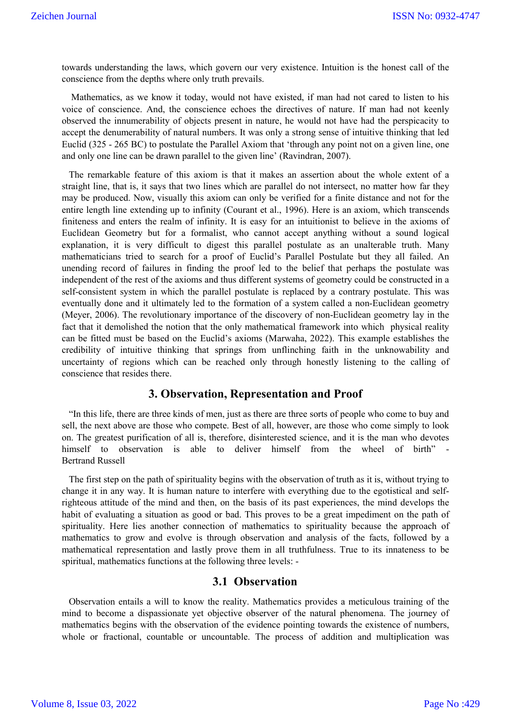towards understanding the laws, which govern our very existence. Intuition is the honest call of the conscience from the depths where only truth prevails.

 Mathematics, as we know it today, would not have existed, if man had not cared to listen to his voice of conscience. And, the conscience echoes the directives of nature. If man had not keenly observed the innumerability of objects present in nature, he would not have had the perspicacity to accept the denumerability of natural numbers. It was only a strong sense of intuitive thinking that led Euclid (325 - 265 BC) to postulate the Parallel Axiom that 'through any point not on a given line, one and only one line can be drawn parallel to the given line' (Ravindran, 2007).

 The remarkable feature of this axiom is that it makes an assertion about the whole extent of a straight line, that is, it says that two lines which are parallel do not intersect, no matter how far they may be produced. Now, visually this axiom can only be verified for a finite distance and not for the entire length line extending up to infinity (Courant et al., 1996). Here is an axiom, which transcends finiteness and enters the realm of infinity. It is easy for an intuitionist to believe in the axioms of Euclidean Geometry but for a formalist, who cannot accept anything without a sound logical explanation, it is very difficult to digest this parallel postulate as an unalterable truth. Many mathematicians tried to search for a proof of Euclid's Parallel Postulate but they all failed. An unending record of failures in finding the proof led to the belief that perhaps the postulate was independent of the rest of the axioms and thus different systems of geometry could be constructed in a self-consistent system in which the parallel postulate is replaced by a contrary postulate. This was eventually done and it ultimately led to the formation of a system called a non-Euclidean geometry (Meyer, 2006). The revolutionary importance of the discovery of non-Euclidean geometry lay in the fact that it demolished the notion that the only mathematical framework into which physical reality can be fitted must be based on the Euclid's axioms (Marwaha, 2022). This example establishes the credibility of intuitive thinking that springs from unflinching faith in the unknowability and uncertainty of regions which can be reached only through honestly listening to the calling of conscience that resides there.

## **3. Observation, Representation and Proof**

 "In this life, there are three kinds of men, just as there are three sorts of people who come to buy and sell, the next above are those who compete. Best of all, however, are those who come simply to look on. The greatest purification of all is, therefore, disinterested science, and it is the man who devotes himself to observation is able to deliver himself from the wheel of birth" Bertrand Russell

 The first step on the path of spirituality begins with the observation of truth as it is, without trying to change it in any way. It is human nature to interfere with everything due to the egotistical and selfrighteous attitude of the mind and then, on the basis of its past experiences, the mind develops the habit of evaluating a situation as good or bad. This proves to be a great impediment on the path of spirituality. Here lies another connection of mathematics to spirituality because the approach of mathematics to grow and evolve is through observation and analysis of the facts, followed by a mathematical representation and lastly prove them in all truthfulness. True to its innateness to be spiritual, mathematics functions at the following three levels: -

## **3.1 Observation**

 Observation entails a will to know the reality. Mathematics provides a meticulous training of the mind to become a dispassionate yet objective observer of the natural phenomena. The journey of mathematics begins with the observation of the evidence pointing towards the existence of numbers, whole or fractional, countable or uncountable. The process of addition and multiplication was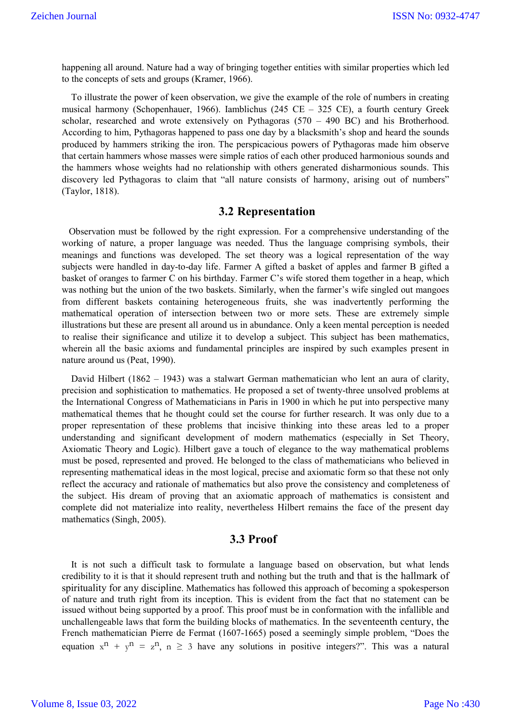happening all around. Nature had a way of bringing together entities with similar properties which led to the concepts of sets and groups (Kramer, 1966).

 To illustrate the power of keen observation, we give the example of the role of numbers in creating musical harmony (Schopenhauer, 1966). Iamblichus (245 CE – 325 CE), a fourth century Greek scholar, researched and wrote extensively on Pythagoras (570 – 490 BC) and his Brotherhood. According to him, Pythagoras happened to pass one day by a blacksmith's shop and heard the sounds produced by hammers striking the iron. The perspicacious powers of Pythagoras made him observe that certain hammers whose masses were simple ratios of each other produced harmonious sounds and the hammers whose weights had no relationship with others generated disharmonious sounds. This discovery led Pythagoras to claim that "all nature consists of harmony, arising out of numbers" (Taylor, 1818).

#### **3.2 Representation**

 Observation must be followed by the right expression. For a comprehensive understanding of the working of nature, a proper language was needed. Thus the language comprising symbols, their meanings and functions was developed. The set theory was a logical representation of the way subjects were handled in day-to-day life. Farmer A gifted a basket of apples and farmer B gifted a basket of oranges to farmer C on his birthday. Farmer C's wife stored them together in a heap, which was nothing but the union of the two baskets. Similarly, when the farmer's wife singled out mangoes from different baskets containing heterogeneous fruits, she was inadvertently performing the mathematical operation of intersection between two or more sets. These are extremely simple illustrations but these are present all around us in abundance. Only a keen mental perception is needed to realise their significance and utilize it to develop a subject. This subject has been mathematics, wherein all the basic axioms and fundamental principles are inspired by such examples present in nature around us (Peat, 1990).

David Hilbert (1862 – 1943) was a stalwart German mathematician who lent an aura of clarity, precision and sophistication to mathematics. He proposed a set of twenty-three unsolved problems at the International Congress of Mathematicians in Paris in 1900 in which he put into perspective many mathematical themes that he thought could set the course for further research. It was only due to a proper representation of these problems that incisive thinking into these areas led to a proper understanding and significant development of modern mathematics (especially in Set Theory, Axiomatic Theory and Logic). Hilbert gave a touch of elegance to the way mathematical problems must be posed, represented and proved. He belonged to the class of mathematicians who believed in representing mathematical ideas in the most logical, precise and axiomatic form so that these not only reflect the accuracy and rationale of mathematics but also prove the consistency and completeness of the subject. His dream of proving that an axiomatic approach of mathematics is consistent and complete did not materialize into reality, nevertheless Hilbert remains the face of the present day mathematics (Singh, 2005).

## **3.3 Proof**

 It is not such a difficult task to formulate a language based on observation, but what lends credibility to it is that it should represent truth and nothing but the truth and that is the hallmark of spirituality for any discipline. Mathematics has followed this approach of becoming a spokesperson of nature and truth right from its inception. This is evident from the fact that no statement can be issued without being supported by a proof. This proof must be in conformation with the infallible and unchallengeable laws that form the building blocks of mathematics. In the seventeenth century, the French mathematician Pierre de Fermat (1607-1665) posed a seemingly simple problem, "Does the equation  $x^n + y^n = z^n$ ,  $n \ge 3$  have any solutions in positive integers?". This was a natural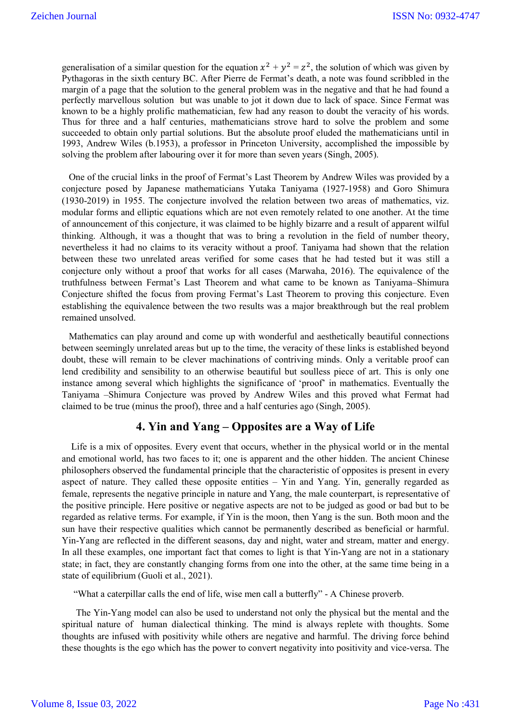generalisation of a similar question for the equation  $x^2 + y^2 = z^2$ , the solution of which was given by Pythagoras in the sixth century BC. After Pierre de Fermat's death, a note was found scribbled in the margin of a page that the solution to the general problem was in the negative and that he had found a perfectly marvellous solution but was unable to jot it down due to lack of space. Since Fermat was known to be a highly prolific mathematician, few had any reason to doubt the veracity of his words. Thus for three and a half centuries, mathematicians strove hard to solve the problem and some succeeded to obtain only partial solutions. But the absolute proof eluded the mathematicians until in 1993, Andrew Wiles (b.1953), a professor in Princeton University, accomplished the impossible by solving the problem after labouring over it for more than seven years (Singh, 2005).

 One of the crucial links in the proof of Fermat's Last Theorem by Andrew Wiles was provided by a conjecture posed by Japanese mathematicians Yutaka Taniyama (1927-1958) and Goro Shimura (1930-2019) in 1955. The conjecture involved the relation between two areas of mathematics, viz. modular forms and elliptic equations which are not even remotely related to one another. At the time of announcement of this conjecture, it was claimed to be highly bizarre and a result of apparent wilful thinking. Although, it was a thought that was to bring a revolution in the field of number theory, nevertheless it had no claims to its veracity without a proof. Taniyama had shown that the relation between these two unrelated areas verified for some cases that he had tested but it was still a conjecture only without a proof that works for all cases (Marwaha, 2016). The equivalence of the truthfulness between Fermat's Last Theorem and what came to be known as Taniyama–Shimura Conjecture shifted the focus from proving Fermat's Last Theorem to proving this conjecture. Even establishing the equivalence between the two results was a major breakthrough but the real problem remained unsolved.

 Mathematics can play around and come up with wonderful and aesthetically beautiful connections between seemingly unrelated areas but up to the time, the veracity of these links is established beyond doubt, these will remain to be clever machinations of contriving minds. Only a veritable proof can lend credibility and sensibility to an otherwise beautiful but soulless piece of art. This is only one instance among several which highlights the significance of 'proof' in mathematics. Eventually the Taniyama –Shimura Conjecture was proved by Andrew Wiles and this proved what Fermat had claimed to be true (minus the proof), three and a half centuries ago (Singh, 2005).

## **4. Yin and Yang – Opposites are a Way of Life**

 Life is a mix of opposites. Every event that occurs, whether in the physical world or in the mental and emotional world, has two faces to it; one is apparent and the other hidden. The ancient Chinese philosophers observed the fundamental principle that the characteristic of opposites is present in every aspect of nature. They called these opposite entities – Yin and Yang. Yin, generally regarded as female, represents the negative principle in nature and Yang, the male counterpart, is representative of the positive principle. Here positive or negative aspects are not to be judged as good or bad but to be regarded as relative terms. For example, if Yin is the moon, then Yang is the sun. Both moon and the sun have their respective qualities which cannot be permanently described as beneficial or harmful. Yin-Yang are reflected in the different seasons, day and night, water and stream, matter and energy. In all these examples, one important fact that comes to light is that Yin-Yang are not in a stationary state; in fact, they are constantly changing forms from one into the other, at the same time being in a state of equilibrium (Guoli et al., 2021).

"What a caterpillar calls the end of life, wise men call a butterfly" - A Chinese proverb.

 The Yin-Yang model can also be used to understand not only the physical but the mental and the spiritual nature of human dialectical thinking. The mind is always replete with thoughts. Some thoughts are infused with positivity while others are negative and harmful. The driving force behind these thoughts is the ego which has the power to convert negativity into positivity and vice-versa. The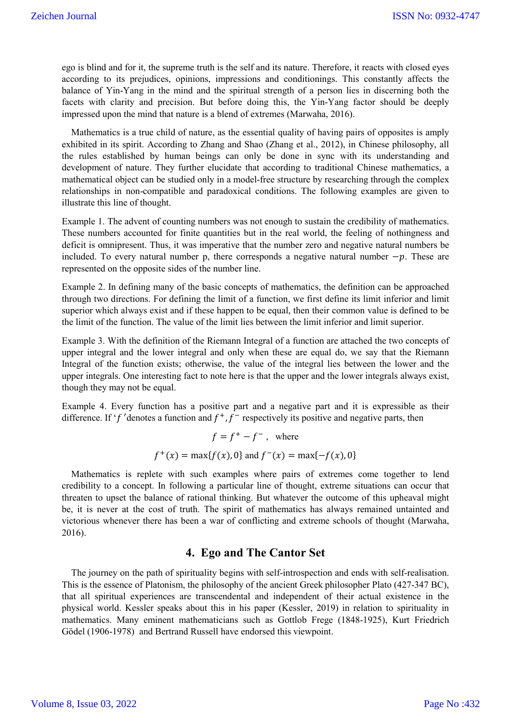ego is blind and for it, the supreme truth is the self and its nature. Therefore, it reacts with closed eyes according to its prejudices, opinions, impressions and conditionings. This constantly affects the balance of Yin-Yang in the mind and the spiritual strength of a person lies in discerning both the facets with clarity and precision. But before doing this, the Yin-Yang factor should be deeply impressed upon the mind that nature is a blend of extremes (Marwaha, 2016).

 Mathematics is a true child of nature, as the essential quality of having pairs of opposites is amply exhibited in its spirit. According to Zhang and Shao (Zhang et al., 2012), in Chinese philosophy, all the rules established by human beings can only be done in sync with its understanding and development of nature. They further elucidate that according to traditional Chinese mathematics, a mathematical object can be studied only in a model-free structure by researching through the complex relationships in non-compatible and paradoxical conditions. The following examples are given to illustrate this line of thought.

Example 1. The advent of counting numbers was not enough to sustain the credibility of mathematics. These numbers accounted for finite quantities but in the real world, the feeling of nothingness and deficit is omnipresent. Thus, it was imperative that the number zero and negative natural numbers be included. To every natural number p, there corresponds a negative natural number  $-p$ . These are represented on the opposite sides of the number line.

Example 2. In defining many of the basic concepts of mathematics, the definition can be approached through two directions. For defining the limit of a function, we first define its limit inferior and limit superior which always exist and if these happen to be equal, then their common value is defined to be the limit of the function. The value of the limit lies between the limit inferior and limit superior.

Example 3. With the definition of the Riemann Integral of a function are attached the two concepts of upper integral and the lower integral and only when these are equal do, we say that the Riemann Integral of the function exists; otherwise, the value of the integral lies between the lower and the upper integrals. One interesting fact to note here is that the upper and the lower integrals always exist, though they may not be equal.

Example 4. Every function has a positive part and a negative part and it is expressible as their difference. If 'f' denotes a function and  $f^+, f^-$  respectively its positive and negative parts, then

> $f = f^+ - f^-$ , where  $f^+(x) = \max\{f(x), 0\}$  and  $f^-(x) = \max\{-f(x), 0\}$

 Mathematics is replete with such examples where pairs of extremes come together to lend credibility to a concept. In following a particular line of thought, extreme situations can occur that threaten to upset the balance of rational thinking. But whatever the outcome of this upheaval might be, it is never at the cost of truth. The spirit of mathematics has always remained untainted and victorious whenever there has been a war of conflicting and extreme schools of thought (Marwaha, 2016).

# **4. Ego and The Cantor Set**

 The journey on the path of spirituality begins with self-introspection and ends with self-realisation. This is the essence of Platonism, the philosophy of the ancient Greek philosopher Plato (427-347 BC), that all spiritual experiences are transcendental and independent of their actual existence in the physical world. Kessler speaks about this in his paper (Kessler, 2019) in relation to spirituality in mathematics. Many eminent mathematicians such as Gottlob Frege (1848-1925), Kurt Friedrich Gödel (1906-1978) and Bertrand Russell have endorsed this viewpoint.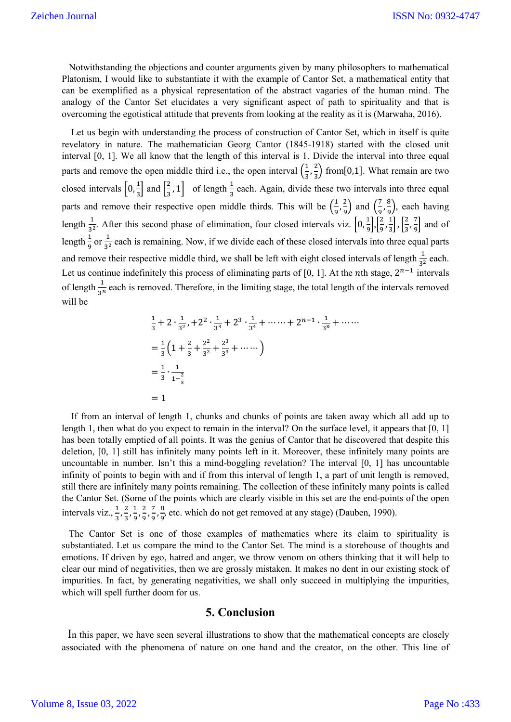Notwithstanding the objections and counter arguments given by many philosophers to mathematical Platonism, I would like to substantiate it with the example of Cantor Set, a mathematical entity that can be exemplified as a physical representation of the abstract vagaries of the human mind. The analogy of the Cantor Set elucidates a very significant aspect of path to spirituality and that is overcoming the egotistical attitude that prevents from looking at the reality as it is (Marwaha, 2016).

 Let us begin with understanding the process of construction of Cantor Set, which in itself is quite revelatory in nature. The mathematician Georg Cantor (1845-1918) started with the closed unit interval [0, 1]. We all know that the length of this interval is 1. Divide the interval into three equal parts and remove the open middle third i.e., the open interval  $\left(\frac{1}{3}, \frac{2}{3}\right)$  $\frac{2}{3}$ ) from[0,1]. What remain are two closed intervals  $\left[0, \frac{1}{2}\right]$  $\frac{1}{3}$  and  $\left[\frac{2}{3}, 1\right]$  of length  $\frac{1}{3}$  each. Again, divide these two intervals into three equal parts and remove their respective open middle thirds. This will be  $\left(\frac{1}{9}, \frac{2}{9}\right)$  $\left(\frac{2}{9}\right)$  and  $\left(\frac{7}{9}, \frac{8}{9}\right)$  $\frac{6}{9}$ , each having length  $\frac{1}{3^2}$ . After this second phase of elimination, four closed intervals viz.  $\left[0, \frac{1}{9}\right]$  $\frac{1}{9}$ ,  $\left[\frac{2}{9}, \frac{1}{3}\right]$  $\frac{1}{3}$ ,  $\left[\frac{2}{3}, \frac{7}{9}\right]$  $\frac{1}{9}$  and of length  $\frac{1}{9}$  or  $\frac{1}{3^2}$  each is remaining. Now, if we divide each of these closed intervals into three equal parts and remove their respective middle third, we shall be left with eight closed intervals of length  $\frac{1}{3^2}$  each. Let us continue indefinitely this process of eliminating parts of [0, 1]. At the *n*th stage,  $2^{n-1}$  intervals of length  $\frac{1}{3^n}$  each is removed. Therefore, in the limiting stage, the total length of the intervals removed will be

$$
\frac{1}{3} + 2 \cdot \frac{1}{3^2}, +2^2 \cdot \frac{1}{3^3} + 2^3 \cdot \frac{1}{3^4} + \dots + 2^{n-1} \cdot \frac{1}{3^n} + \dots
$$
  
=  $\frac{1}{3} \left( 1 + \frac{2}{3} + \frac{2^2}{3^2} + \frac{2^3}{3^3} + \dots \right)$   
=  $\frac{1}{3} \cdot \frac{1}{1 - \frac{2}{3}}$   
= 1

 If from an interval of length 1, chunks and chunks of points are taken away which all add up to length 1, then what do you expect to remain in the interval? On the surface level, it appears that [0, 1] has been totally emptied of all points. It was the genius of Cantor that he discovered that despite this deletion, [0, 1] still has infinitely many points left in it. Moreover, these infinitely many points are uncountable in number. Isn't this a mind-boggling revelation? The interval [0, 1] has uncountable infinity of points to begin with and if from this interval of length 1, a part of unit length is removed, still there are infinitely many points remaining. The collection of these infinitely many points is called the Cantor Set. (Some of the points which are clearly visible in this set are the end-points of the open intervals viz.,  $\frac{1}{3}, \frac{2}{3}, \frac{1}{9}, \frac{2}{9}, \frac{7}{9}, \frac{8}{9}$  $\frac{6}{9}$ , etc. which do not get removed at any stage) (Dauben, 1990).

 The Cantor Set is one of those examples of mathematics where its claim to spirituality is substantiated. Let us compare the mind to the Cantor Set. The mind is a storehouse of thoughts and emotions. If driven by ego, hatred and anger, we throw venom on others thinking that it will help to clear our mind of negativities, then we are grossly mistaken. It makes no dent in our existing stock of impurities. In fact, by generating negativities, we shall only succeed in multiplying the impurities, which will spell further doom for us.

## **5. Conclusion**

 In this paper, we have seen several illustrations to show that the mathematical concepts are closely associated with the phenomena of nature on one hand and the creator, on the other. This line of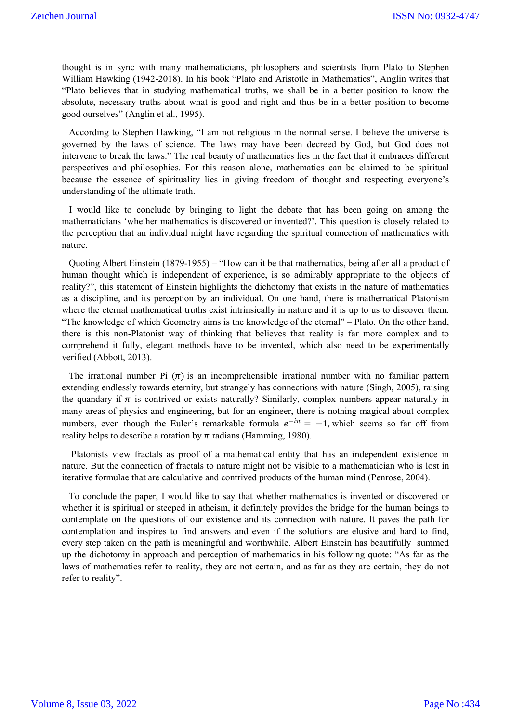thought is in sync with many mathematicians, philosophers and scientists from Plato to Stephen William Hawking (1942-2018). In his book "Plato and Aristotle in Mathematics", Anglin writes that "Plato believes that in studying mathematical truths, we shall be in a better position to know the absolute, necessary truths about what is good and right and thus be in a better position to become good ourselves" (Anglin et al., 1995).

 According to Stephen Hawking, "I am not religious in the normal sense. I believe the universe is governed by the laws of science. The laws may have been decreed by God, but God does not intervene to break the laws." The real beauty of mathematics lies in the fact that it embraces different perspectives and philosophies. For this reason alone, mathematics can be claimed to be spiritual because the essence of spirituality lies in giving freedom of thought and respecting everyone's understanding of the ultimate truth.

 I would like to conclude by bringing to light the debate that has been going on among the mathematicians 'whether mathematics is discovered or invented?'. This question is closely related to the perception that an individual might have regarding the spiritual connection of mathematics with nature.

 Quoting Albert Einstein (1879-1955) – "How can it be that mathematics, being after all a product of human thought which is independent of experience, is so admirably appropriate to the objects of reality?", this statement of Einstein highlights the dichotomy that exists in the nature of mathematics as a discipline, and its perception by an individual. On one hand, there is mathematical Platonism where the eternal mathematical truths exist intrinsically in nature and it is up to us to discover them. "The knowledge of which Geometry aims is the knowledge of the eternal" – Plato. On the other hand, there is this non-Platonist way of thinking that believes that reality is far more complex and to comprehend it fully, elegant methods have to be invented, which also need to be experimentally verified (Abbott, 2013).

The irrational number Pi  $(\pi)$  is an incomprehensible irrational number with no familiar pattern extending endlessly towards eternity, but strangely has connections with nature (Singh, 2005), raising the quandary if  $\pi$  is contrived or exists naturally? Similarly, complex numbers appear naturally in many areas of physics and engineering, but for an engineer, there is nothing magical about complex numbers, even though the Euler's remarkable formula  $e^{-i\pi} = -1$ , which seems so far off from reality helps to describe a rotation by  $\pi$  radians (Hamming, 1980).

 Platonists view fractals as proof of a mathematical entity that has an independent existence in nature. But the connection of fractals to nature might not be visible to a mathematician who is lost in iterative formulae that are calculative and contrived products of the human mind (Penrose, 2004).

 To conclude the paper, I would like to say that whether mathematics is invented or discovered or whether it is spiritual or steeped in atheism, it definitely provides the bridge for the human beings to contemplate on the questions of our existence and its connection with nature. It paves the path for contemplation and inspires to find answers and even if the solutions are elusive and hard to find, every step taken on the path is meaningful and worthwhile. Albert Einstein has beautifully summed up the dichotomy in approach and perception of mathematics in his following quote: "As far as the laws of mathematics refer to reality, they are not certain, and as far as they are certain, they do not refer to reality".